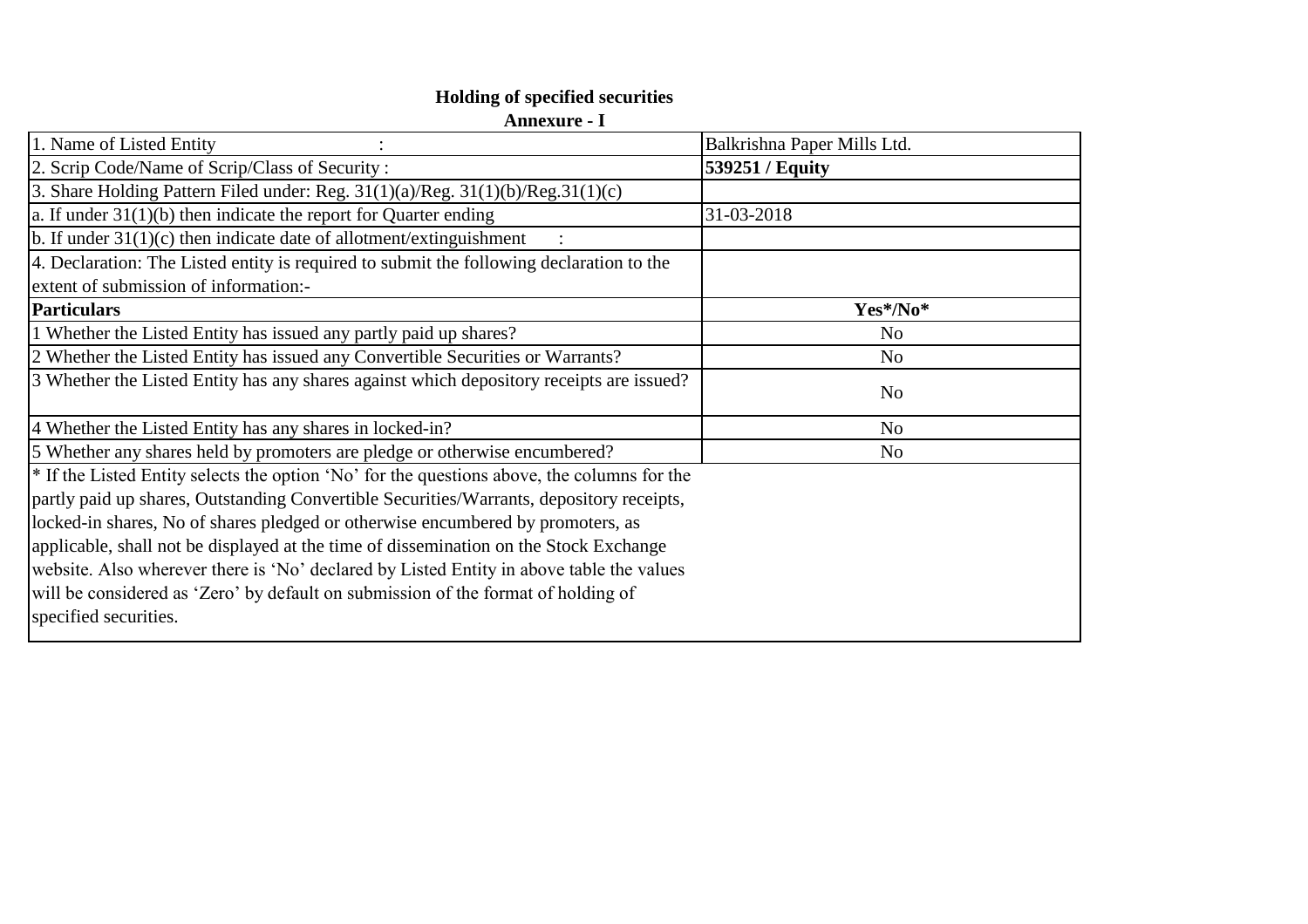## **Holding of specified securities**

| Annexure |  |
|----------|--|
|----------|--|

| Balkrishna Paper Mills Ltd.                                                                                |
|------------------------------------------------------------------------------------------------------------|
| 539251 / Equity                                                                                            |
|                                                                                                            |
| 31-03-2018                                                                                                 |
|                                                                                                            |
|                                                                                                            |
|                                                                                                            |
| Yes*/No*                                                                                                   |
| N <sub>o</sub>                                                                                             |
| N <sub>o</sub>                                                                                             |
| 3 Whether the Listed Entity has any shares against which depository receipts are issued?<br>N <sub>o</sub> |
| N <sub>o</sub>                                                                                             |
| N <sub>o</sub>                                                                                             |
| <sup>*</sup> If the Listed Entity selects the option 'No' for the questions above, the columns for the     |
|                                                                                                            |
|                                                                                                            |
|                                                                                                            |
|                                                                                                            |
|                                                                                                            |
|                                                                                                            |
|                                                                                                            |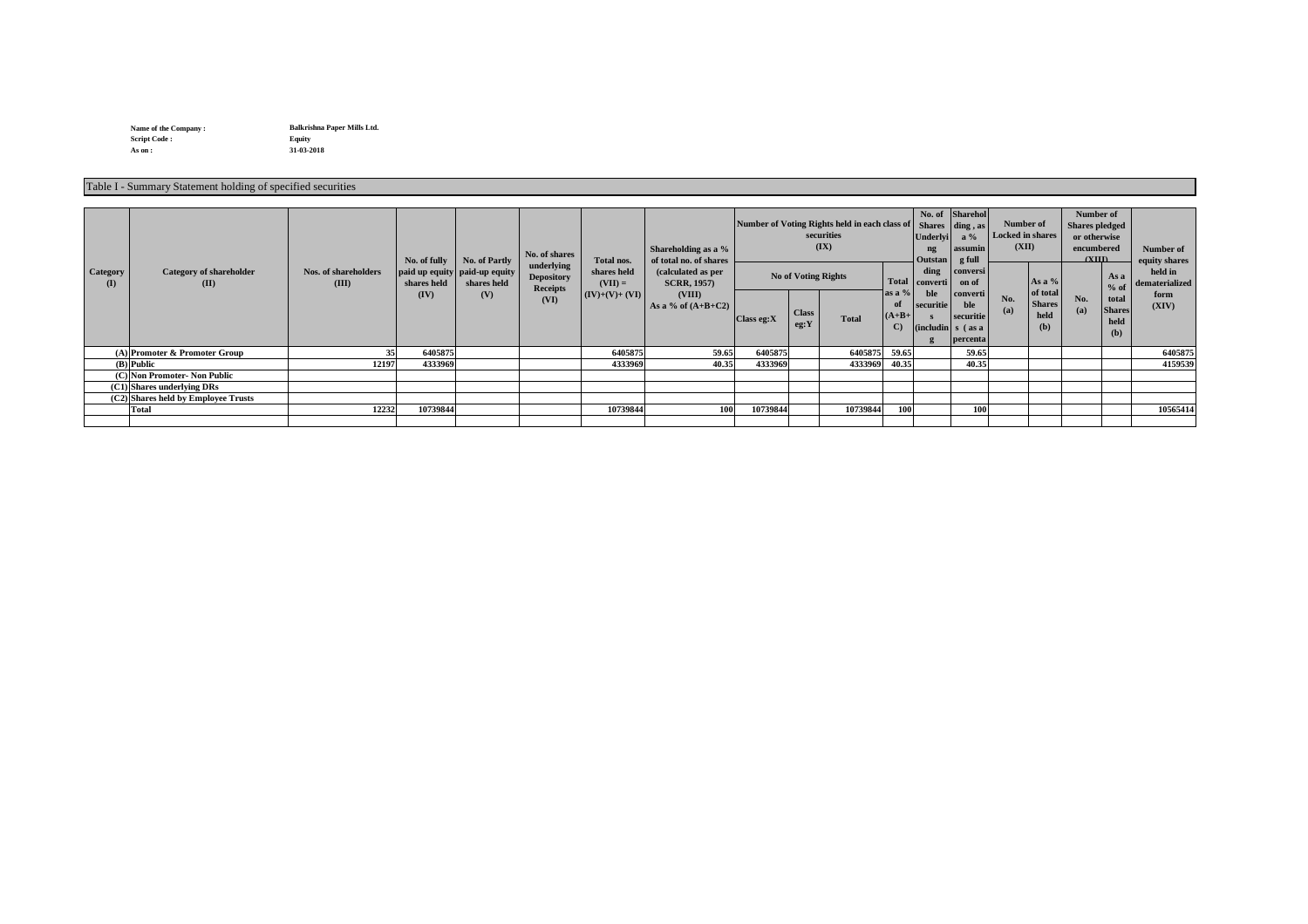**Name of the Company : Script Code : Equity As on : 31-03-2018**

| <b>Category</b><br>(I)     | <b>Category of shareholder</b><br>(II) | <b>Nos. of shareholders</b><br>(III) | No. of fully<br>shares held<br>(IV) | <b>No. of Partly</b><br>paid up equity paid-up equity<br>shares held<br>(V) | No. of shares<br>underlying<br><b>Depository</b><br><b>Receipts</b><br>(VI) | Total nos.<br>shares held<br>$(VII) =$<br>$\vert (IV)+(V)+(VI) \vert$ | Shareholding as a $\%$<br>of total no. of shares<br>(calculated as per<br><b>SCRR, 1957)</b><br>(VIII)<br>As a % of $(A+B+C2)$ | Class eg: X | Number of Voting Rights held in each class of Shares<br>securities<br>(IX)<br><b>No of Voting Rights</b><br><b>Class</b><br><b>Total</b><br>eg:Y | $\vert$ as a %<br>of<br>$(A+B+$<br>$\mathbf{C}$ | Underlyi<br>ng<br>Outstan<br>ding<br>Total   converti  <br>ble<br>securitie | No. of Sharehol<br>$\vert$ ding, as $\vert$<br>$a\%$<br>  assumin<br>g full<br>conversi<br>on of<br>  converti  <br>ble<br>securitie<br>$\binom{including}{s}$ (as a<br>  percenta | Number of<br>(XII)<br>No.<br>(a) | <b>Locked in shares</b><br>As a $%$<br>of total<br><b>Shares</b><br>held<br>(b) | <b>Number of</b><br><b>Shares pledged</b><br>or otherwise<br>encumbered<br>(XIII)<br>No.<br>(a) | As a<br>$%$ of<br>total<br><b>Shares</b><br>held<br>(b) | Number of<br>equity shares<br>held in<br>dematerialized<br>form<br>(XIV) |
|----------------------------|----------------------------------------|--------------------------------------|-------------------------------------|-----------------------------------------------------------------------------|-----------------------------------------------------------------------------|-----------------------------------------------------------------------|--------------------------------------------------------------------------------------------------------------------------------|-------------|--------------------------------------------------------------------------------------------------------------------------------------------------|-------------------------------------------------|-----------------------------------------------------------------------------|------------------------------------------------------------------------------------------------------------------------------------------------------------------------------------|----------------------------------|---------------------------------------------------------------------------------|-------------------------------------------------------------------------------------------------|---------------------------------------------------------|--------------------------------------------------------------------------|
|                            | $(A)$ Promoter & Promoter Group        | 35                                   | 6405875                             |                                                                             |                                                                             | 6405875                                                               | 59.65                                                                                                                          | 6405875     | 6405875                                                                                                                                          | 59.65                                           |                                                                             | 59.65                                                                                                                                                                              |                                  |                                                                                 |                                                                                                 |                                                         | 6405875                                                                  |
|                            | $(B)$  Public                          | 12197                                | 4333969                             |                                                                             |                                                                             | 4333969                                                               | 40.35                                                                                                                          | 4333969     | 4333969                                                                                                                                          | 40.35                                           |                                                                             | 40.35                                                                                                                                                                              |                                  |                                                                                 |                                                                                                 |                                                         | 4159539                                                                  |
|                            | (C) Non Promoter- Non Public           |                                      |                                     |                                                                             |                                                                             |                                                                       |                                                                                                                                |             |                                                                                                                                                  |                                                 |                                                                             |                                                                                                                                                                                    |                                  |                                                                                 |                                                                                                 |                                                         |                                                                          |
| (C1) Shares underlying DRs |                                        |                                      |                                     |                                                                             |                                                                             |                                                                       |                                                                                                                                |             |                                                                                                                                                  |                                                 |                                                                             |                                                                                                                                                                                    |                                  |                                                                                 |                                                                                                 |                                                         |                                                                          |
|                            | $(C2)$ Shares held by Employee Trusts  |                                      |                                     |                                                                             |                                                                             |                                                                       |                                                                                                                                |             |                                                                                                                                                  |                                                 |                                                                             |                                                                                                                                                                                    |                                  |                                                                                 |                                                                                                 |                                                         |                                                                          |
|                            | <b>Total</b>                           | 12232                                | 10739844                            |                                                                             |                                                                             | 10739844                                                              | 100                                                                                                                            | 10739844    | 10739844                                                                                                                                         | 100                                             |                                                                             | <b>100</b>                                                                                                                                                                         |                                  |                                                                                 |                                                                                                 |                                                         | 10565414                                                                 |
|                            |                                        |                                      |                                     |                                                                             |                                                                             |                                                                       |                                                                                                                                |             |                                                                                                                                                  |                                                 |                                                                             |                                                                                                                                                                                    |                                  |                                                                                 |                                                                                                 |                                                         |                                                                          |

**Balkrishna Paper Mills Ltd.** 

Table I - Summary Statement holding of specified securities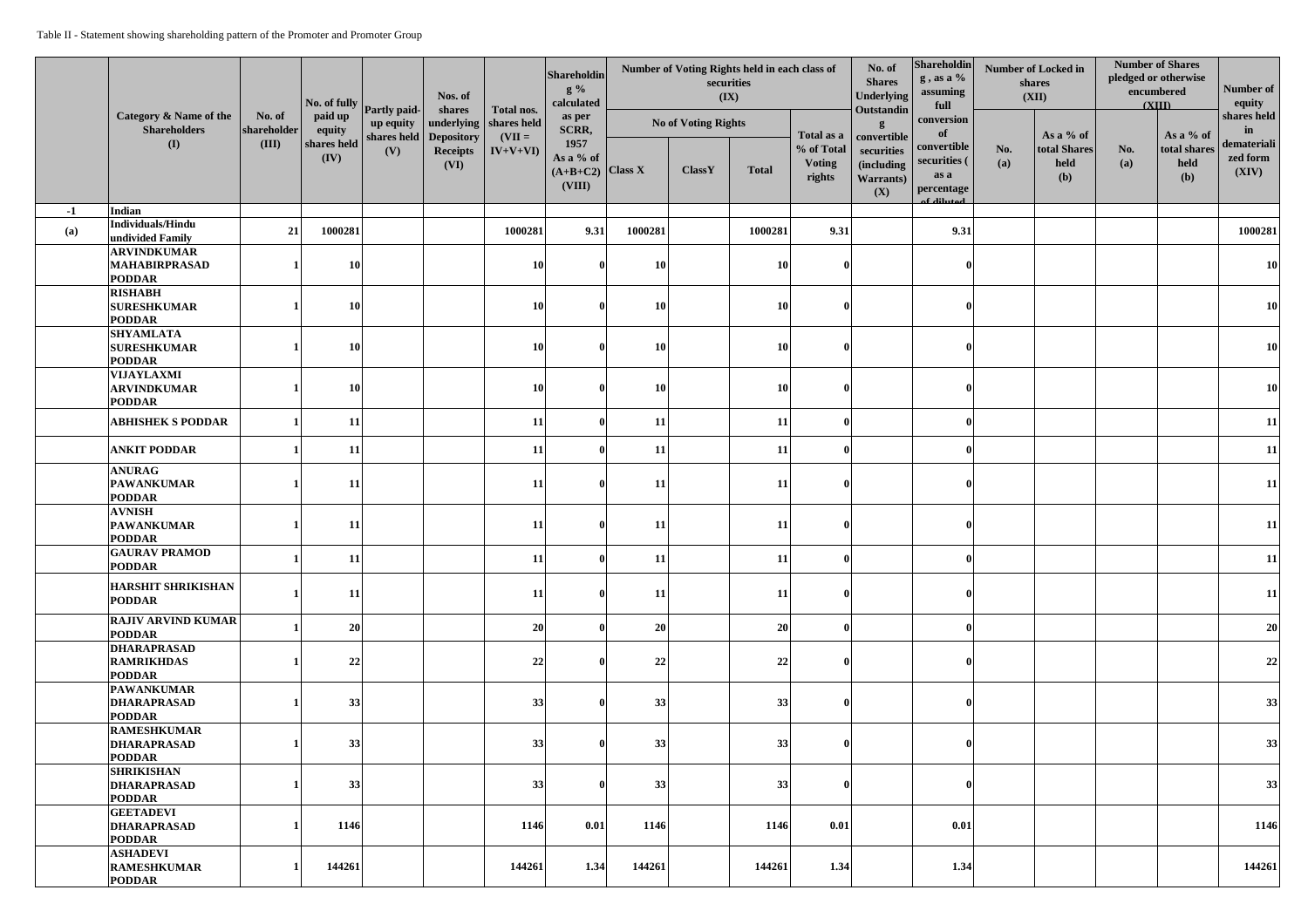|      |                                                                        |                       | No. of fully Partly paid- |                                 | Nos. of<br>shares                     | Total nos.                     | Shareholdin<br>$g\%$<br>calculated                |           | (IX)                       | Number of Voting Rights held in each class of<br>securities |                                       | No. of<br><b>Shares</b><br><b>Underlying</b><br>Outstandin                                | Shareholdin<br>g, as a %<br>assuming<br>full<br>conversion<br><b>of</b><br>convertible<br>securities (<br>as a<br>percentage<br>of diluted | <b>Number of Locked in</b><br>shares<br>(XII) |                                          | <b>Number of Shares</b><br>pledged or otherwise<br>encumbered<br>(XIII) |                                          | Number of<br>equity                                   |
|------|------------------------------------------------------------------------|-----------------------|---------------------------|---------------------------------|---------------------------------------|--------------------------------|---------------------------------------------------|-----------|----------------------------|-------------------------------------------------------------|---------------------------------------|-------------------------------------------------------------------------------------------|--------------------------------------------------------------------------------------------------------------------------------------------|-----------------------------------------------|------------------------------------------|-------------------------------------------------------------------------|------------------------------------------|-------------------------------------------------------|
|      | <b>Category &amp; Name of the</b><br><b>Shareholders</b><br><b>(I)</b> | No. of<br>shareholder | paid up<br>equity         | up equity<br>shares held<br>(V) |                                       | underlying $\vert$ shares held | as per<br>SCRR,                                   |           | <b>No of Voting Rights</b> |                                                             |                                       |                                                                                           |                                                                                                                                            |                                               |                                          |                                                                         |                                          | shares held<br>in<br>demateriali<br>zed form<br>(XIV) |
|      |                                                                        | (III)                 | shares held<br>(IV)       |                                 | Depository<br><b>Receipts</b><br>(VI) | $(VII =$<br>$IV+V+VI$          | 1957<br>As a % of<br>$(A+B+C2)$ Class X<br>(VIII) |           | <b>ClassY</b>              | <b>Total</b>                                                | % of Total<br><b>Voting</b><br>rights | Total as a   convertible  <br>securities<br><i>(including</i><br><b>Warrants</b> )<br>(X) |                                                                                                                                            | No.<br>(a)                                    | As a % of<br>total Shares<br>held<br>(b) | No.<br>(a)                                                              | As a % of<br>total shares<br>held<br>(b) |                                                       |
| $-1$ | Indian<br>Individuals/Hindu                                            |                       |                           |                                 |                                       |                                |                                                   |           |                            |                                                             |                                       |                                                                                           |                                                                                                                                            |                                               |                                          |                                                                         |                                          |                                                       |
| (a)  | undivided Family                                                       | 21                    | 1000281                   |                                 |                                       | 1000281                        | 9.31                                              | 1000281   |                            | 1000281                                                     | 9.31                                  |                                                                                           | 9.31                                                                                                                                       |                                               |                                          |                                                                         |                                          | 1000281                                               |
|      | <b>ARVINDKUMAR</b><br><b>MAHABIRPRASAD</b><br><b>PODDAR</b>            |                       | 10                        |                                 |                                       | 10                             |                                                   | <b>10</b> |                            | <b>10</b>                                                   |                                       |                                                                                           |                                                                                                                                            |                                               |                                          |                                                                         |                                          | <b>10</b>                                             |
|      | <b>RISHABH</b><br><b>SURESHKUMAR</b>                                   |                       | 10                        |                                 |                                       | 10                             |                                                   | <b>10</b> |                            | <b>10</b>                                                   |                                       |                                                                                           |                                                                                                                                            |                                               |                                          |                                                                         |                                          | <b>10</b>                                             |
|      | <b>PODDAR</b>                                                          |                       |                           |                                 |                                       |                                |                                                   |           |                            |                                                             |                                       |                                                                                           |                                                                                                                                            |                                               |                                          |                                                                         |                                          |                                                       |
|      | <b>SHYAMLATA</b><br><b>SURESHKUMAR</b><br><b>PODDAR</b>                |                       |                           |                                 |                                       | 10                             |                                                   | <b>10</b> |                            | <b>10</b>                                                   | $\Omega$                              |                                                                                           |                                                                                                                                            |                                               |                                          |                                                                         |                                          | <b>10</b>                                             |
|      | VIJAYLAXMI<br><b>ARVINDKUMAR</b><br><b>PODDAR</b>                      |                       |                           |                                 |                                       | 10                             |                                                   | <b>10</b> |                            | <b>10</b>                                                   |                                       |                                                                                           |                                                                                                                                            |                                               |                                          |                                                                         |                                          | <b>10</b>                                             |
|      | <b>ABHISHEK S PODDAR</b>                                               |                       | 11                        |                                 |                                       | 11                             |                                                   | 11        |                            | <b>11</b>                                                   | $\mathbf{v}$                          |                                                                                           |                                                                                                                                            |                                               |                                          |                                                                         |                                          | 11                                                    |
|      | <b>ANKIT PODDAR</b>                                                    |                       | 11                        |                                 |                                       | 11                             |                                                   | 11        |                            | <b>11</b>                                                   |                                       |                                                                                           |                                                                                                                                            |                                               |                                          |                                                                         |                                          | 11                                                    |
|      | <b>ANURAG</b><br><b>PAWANKUMAR</b><br><b>PODDAR</b>                    |                       | 11                        |                                 |                                       | 11                             |                                                   | 11        |                            | <b>11</b>                                                   |                                       |                                                                                           |                                                                                                                                            |                                               |                                          |                                                                         |                                          | 11                                                    |
|      | <b>AVNISH</b><br><b>PAWANKUMAR</b><br><b>PODDAR</b>                    |                       | 11                        |                                 |                                       | 11                             |                                                   | 11        |                            | <b>11</b>                                                   |                                       |                                                                                           |                                                                                                                                            |                                               |                                          |                                                                         |                                          | 11                                                    |
|      | <b>GAURAV PRAMOD</b><br><b>PODDAR</b>                                  |                       | 11                        |                                 |                                       | 11                             |                                                   | <b>11</b> |                            | <b>11</b>                                                   |                                       |                                                                                           |                                                                                                                                            |                                               |                                          |                                                                         |                                          | 11                                                    |
|      | <b>HARSHIT SHRIKISHAN</b><br><b>PODDAR</b>                             |                       | 11                        |                                 |                                       | 11                             |                                                   | <b>11</b> |                            | <b>11</b>                                                   |                                       |                                                                                           |                                                                                                                                            |                                               |                                          |                                                                         |                                          | 11                                                    |
|      | <b>RAJIV ARVIND KUMAR</b><br><b>PODDAR</b>                             |                       | 20                        |                                 |                                       | 20                             |                                                   | <b>20</b> |                            | 20                                                          |                                       |                                                                                           |                                                                                                                                            |                                               |                                          |                                                                         |                                          | 20                                                    |
|      | <b>DHARAPRASAD</b><br><b>RAMRIKHDAS</b><br><b>PODDAR</b>               |                       | 22                        |                                 |                                       | 22                             |                                                   | 22        |                            | 22                                                          |                                       |                                                                                           |                                                                                                                                            |                                               |                                          |                                                                         |                                          | 22                                                    |
|      | <b>PAWANKUMAR</b><br><b>DHARAPRASAD</b><br><b>PODDAR</b>               |                       | 33                        |                                 |                                       | 33                             |                                                   | 33        |                            | 33                                                          |                                       |                                                                                           |                                                                                                                                            |                                               |                                          |                                                                         |                                          | 33                                                    |
|      | <b>RAMESHKUMAR</b><br><b>DHARAPRASAD</b><br><b>PODDAR</b>              |                       | 33                        |                                 |                                       | 33                             |                                                   | 33        |                            | 33                                                          |                                       |                                                                                           |                                                                                                                                            |                                               |                                          |                                                                         |                                          | 33                                                    |
|      | <b>SHRIKISHAN</b><br><b>DHARAPRASAD</b><br><b>PODDAR</b>               |                       | 33                        |                                 |                                       | 33                             |                                                   | 33        |                            | 33                                                          |                                       |                                                                                           |                                                                                                                                            |                                               |                                          |                                                                         |                                          | 33                                                    |
|      | <b>GEETADEVI</b><br><b>DHARAPRASAD</b><br><b>PODDAR</b>                |                       | 1146                      |                                 |                                       | 1146                           | 0.01                                              | 1146      |                            | 1146                                                        | $\vert 0.01 \vert$                    |                                                                                           | 0.01                                                                                                                                       |                                               |                                          |                                                                         |                                          | 1146                                                  |
|      | <b>ASHADEVI</b><br><b>RAMESHKUMAR</b><br><b>PODDAR</b>                 |                       | 144261                    |                                 |                                       | 144261                         | 1.34                                              | 144261    |                            | 144261                                                      | 1.34                                  |                                                                                           | 1.34                                                                                                                                       |                                               |                                          |                                                                         |                                          | 144261                                                |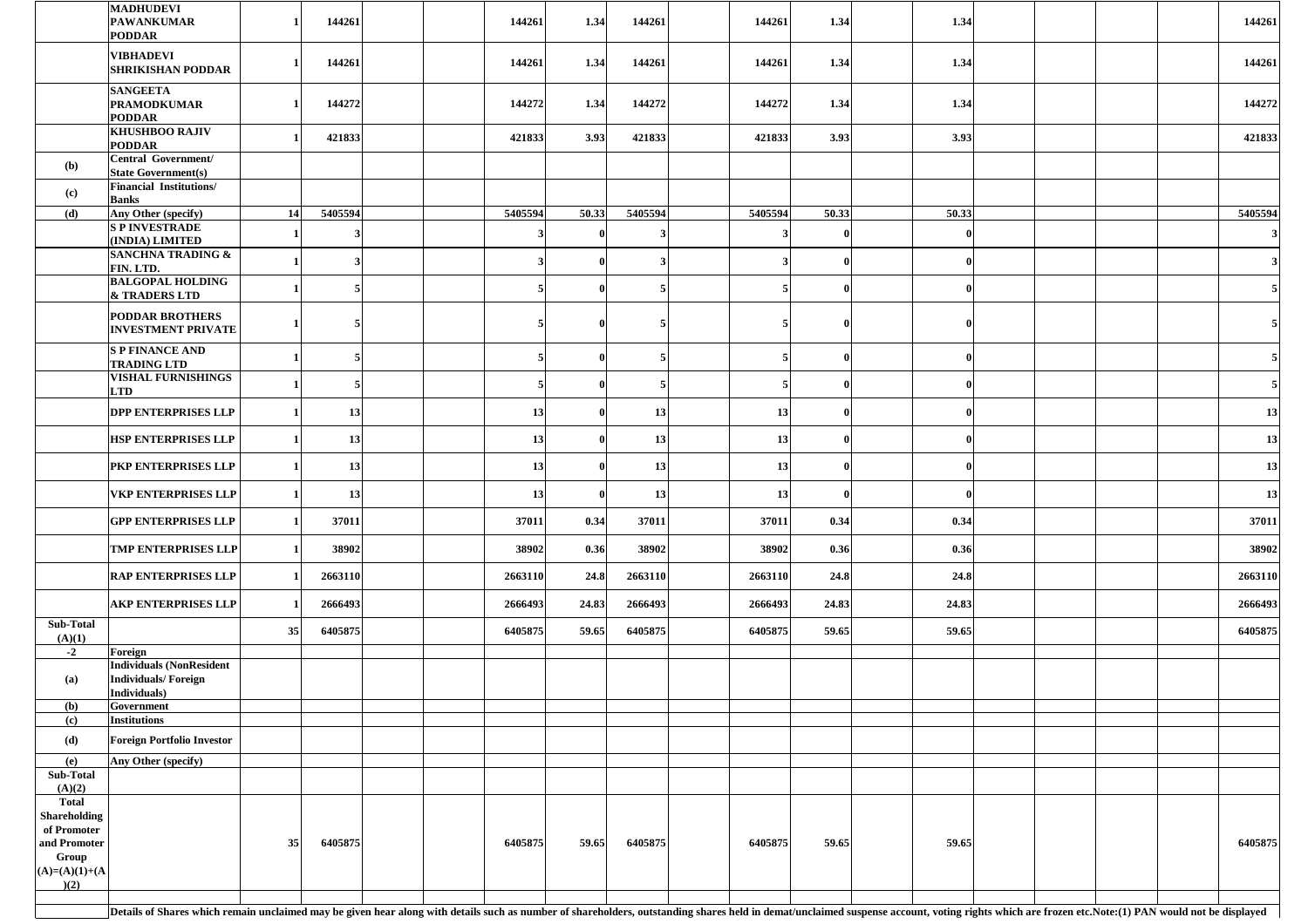|                             | <b>MADHUDEVI</b><br><b>PAWANKUMAR</b><br><b>PODDAR</b>                                                                                                                                                                         |    | 144261  | 144261    | 1.34                | 144261  | 144261  | 1.34  | 1.34  |  |  | 144261  |
|-----------------------------|--------------------------------------------------------------------------------------------------------------------------------------------------------------------------------------------------------------------------------|----|---------|-----------|---------------------|---------|---------|-------|-------|--|--|---------|
|                             | <b>VIBHADEVI</b><br><b>SHRIKISHAN PODDAR</b>                                                                                                                                                                                   |    | 144261  | 144261    | 1.34                | 144261  | 144261  | 1.34  | 1.34  |  |  | 144261  |
|                             | <b>SANGEETA</b><br><b>PRAMODKUMAR</b><br><b>PODDAR</b>                                                                                                                                                                         |    | 144272  | 144272    | 1.34                | 144272  | 144272  | 1.34  | 1.34  |  |  | 144272  |
|                             | <b>KHUSHBOO RAJIV</b><br><b>PODDAR</b>                                                                                                                                                                                         |    | 421833  | 421833    | 3.93                | 421833  | 421833  | 3.93  | 3.93  |  |  | 421833  |
| (b)                         | Central Government/<br><b>State Government(s)</b>                                                                                                                                                                              |    |         |           |                     |         |         |       |       |  |  |         |
| (c)                         | <b>Financial Institutions/</b><br><b>Banks</b>                                                                                                                                                                                 |    |         |           |                     |         |         |       |       |  |  |         |
| (d)                         | Any Other (specify)                                                                                                                                                                                                            | 14 | 5405594 | 5405594   | 50.33               | 5405594 | 5405594 | 50.33 | 50.33 |  |  | 5405594 |
|                             | <b>SPINVESTRADE</b>                                                                                                                                                                                                            |    |         |           |                     |         |         |       |       |  |  |         |
|                             | (INDIA) LIMITED<br><b>SANCHNA TRADING &amp;</b>                                                                                                                                                                                |    |         |           |                     |         |         |       |       |  |  |         |
|                             | FIN. LTD.<br><b>BALGOPAL HOLDING</b>                                                                                                                                                                                           |    |         |           |                     |         |         |       |       |  |  |         |
|                             | <b>&amp; TRADERS LTD</b>                                                                                                                                                                                                       |    |         |           |                     |         |         |       |       |  |  |         |
|                             | <b>PODDAR BROTHERS</b><br><b>INVESTMENT PRIVATE</b>                                                                                                                                                                            |    |         |           |                     |         |         |       |       |  |  |         |
|                             | <b>S P FINANCE AND</b>                                                                                                                                                                                                         |    |         |           |                     |         |         |       |       |  |  |         |
|                             | <b>TRADING LTD</b><br><b>VISHAL FURNISHINGS</b>                                                                                                                                                                                |    |         |           | $\mathbf{0}$        |         |         |       |       |  |  |         |
|                             | <b>LTD</b>                                                                                                                                                                                                                     |    |         |           |                     |         |         |       |       |  |  |         |
|                             | <b>DPP ENTERPRISES LLP</b>                                                                                                                                                                                                     |    | 13      | <b>13</b> | $\mathbf{v}$<br>VI. | 13      | 13      |       | v     |  |  | 13      |
|                             | <b>HSP ENTERPRISES LLP</b>                                                                                                                                                                                                     |    | 13      | 13        | $\vert$ 0           | 13      | 13      |       |       |  |  | 13      |
|                             | PKP ENTERPRISES LLP                                                                                                                                                                                                            |    | 13      | 13        | $\mathbf{0}$        | 13      | 13      |       |       |  |  | 13      |
|                             | <b>VKP ENTERPRISES LLP</b>                                                                                                                                                                                                     |    | 13      | 13        | $\mathbf{0}$        | 13      | 13      |       |       |  |  | 13      |
|                             | <b>GPP ENTERPRISES LLP</b>                                                                                                                                                                                                     |    | 37011   | 37011     | 0.34                | 37011   | 37011   | 0.34  | 0.34  |  |  | 37011   |
|                             | <b>TMP ENTERPRISES LLP</b>                                                                                                                                                                                                     |    | 38902   | 38902     | 0.36                | 38902   | 38902   | 0.36  | 0.36  |  |  | 38902   |
|                             | <b>RAP ENTERPRISES LLP</b>                                                                                                                                                                                                     |    | 2663110 | 2663110   | 24.8                | 2663110 | 2663110 | 24.8  | 24.8  |  |  | 2663110 |
|                             | <b>AKP ENTERPRISES LLP</b>                                                                                                                                                                                                     |    | 2666493 | 2666493   | 24.83               | 2666493 | 2666493 | 24.83 | 24.83 |  |  | 2666493 |
| <b>Sub-Total</b><br>(A)(1)  |                                                                                                                                                                                                                                | 35 | 6405875 | 6405875   | 59.65               | 6405875 | 6405875 | 59.65 | 59.65 |  |  | 6405875 |
| $-2$                        | Foreign                                                                                                                                                                                                                        |    |         |           |                     |         |         |       |       |  |  |         |
| (a)                         | <b>Individuals (NonResident</b><br><b>Individuals/Foreign</b><br>Individuals)                                                                                                                                                  |    |         |           |                     |         |         |       |       |  |  |         |
| (b)                         | Government                                                                                                                                                                                                                     |    |         |           |                     |         |         |       |       |  |  |         |
| (c)<br>( <b>d</b> )         | <b>Institutions</b><br><b>Foreign Portfolio Investor</b>                                                                                                                                                                       |    |         |           |                     |         |         |       |       |  |  |         |
| (e)                         | Any Other (specify)                                                                                                                                                                                                            |    |         |           |                     |         |         |       |       |  |  |         |
| Sub-Total                   |                                                                                                                                                                                                                                |    |         |           |                     |         |         |       |       |  |  |         |
| (A)(2)<br><b>Total</b>      |                                                                                                                                                                                                                                |    |         |           |                     |         |         |       |       |  |  |         |
| <b>Shareholding</b>         |                                                                                                                                                                                                                                |    |         |           |                     |         |         |       |       |  |  |         |
| of Promoter<br>and Promoter |                                                                                                                                                                                                                                | 35 | 6405875 | 6405875   | 59.65               | 6405875 | 6405875 | 59.65 | 59.65 |  |  | 6405875 |
| Group                       |                                                                                                                                                                                                                                |    |         |           |                     |         |         |       |       |  |  |         |
| $(A)=(A)(1)+(A)$<br>)(2)    |                                                                                                                                                                                                                                |    |         |           |                     |         |         |       |       |  |  |         |
|                             |                                                                                                                                                                                                                                |    |         |           |                     |         |         |       |       |  |  |         |
|                             | Details of Shares which remain unclaimed may be given hear along with details such as number of shareholders, outstanding shares held in demat/unclaimed suspense account, voting rights which are frozen etc. Note: (1) PAN w |    |         |           |                     |         |         |       |       |  |  |         |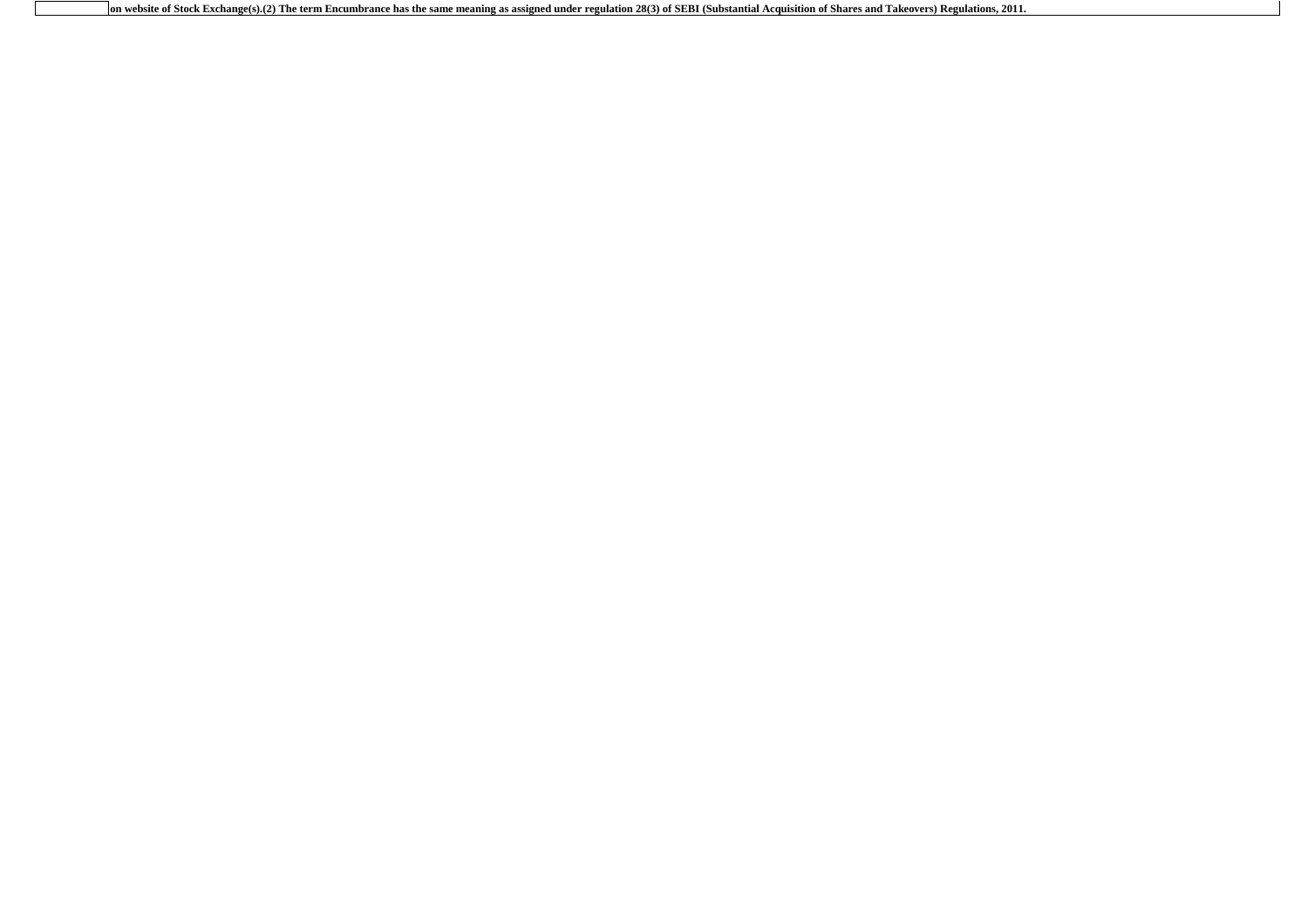**on website of Stock Exchange(s).(2) The term Encumbrance has the same meaning as assigned under regulation 28(3) of SEBI (Substantial Acquisition of Shares and Takeovers) Regulations, 2011.**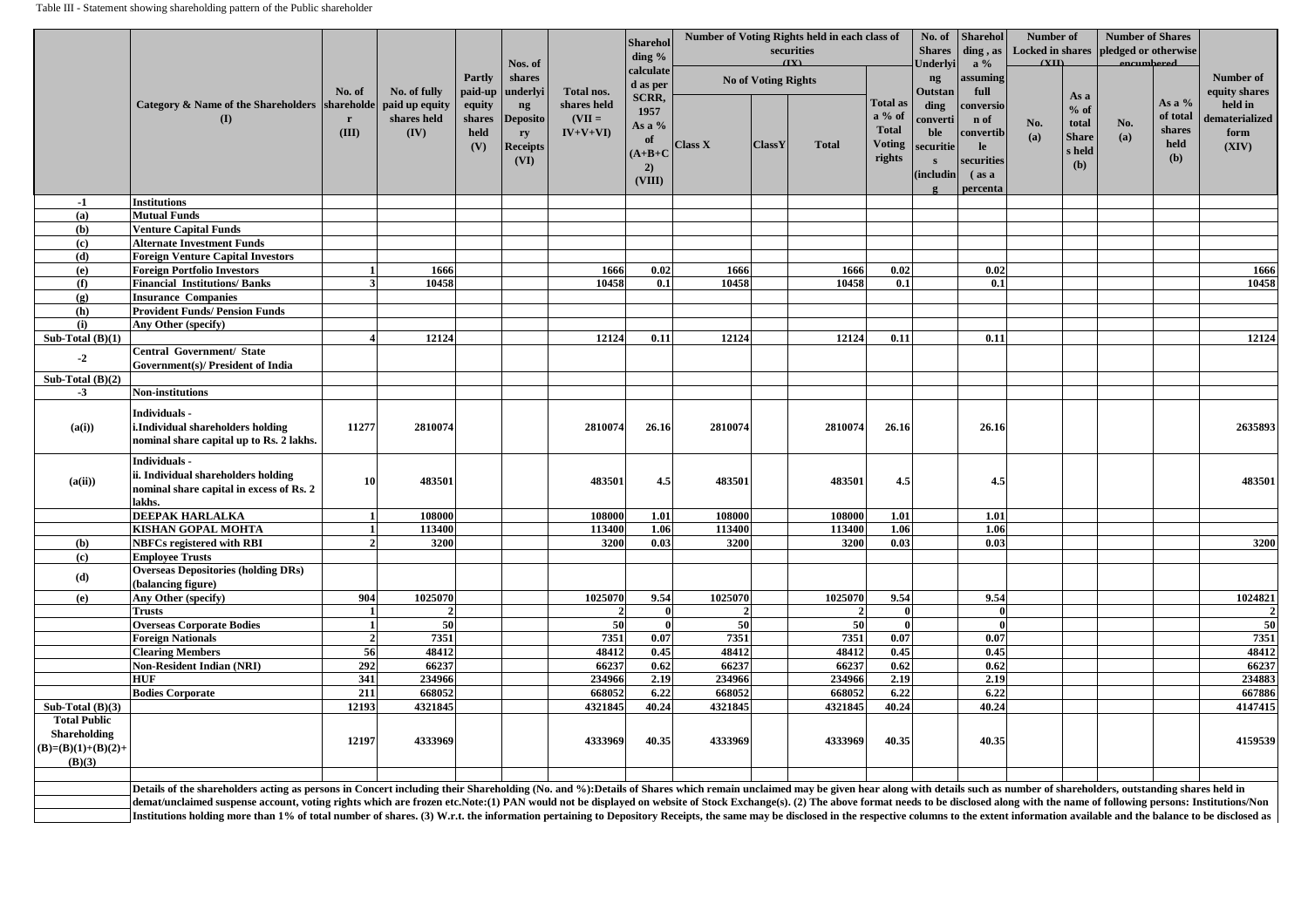|                                                       |                                                                                                                                                                                                                                |                |                                       |                       | Nos. of                                                |                                      | Sharehol<br>ding $\%$<br>calculate                |                   |                            | Number of Voting Rights held in each class of<br>securities<br>(TY) |                                                                        | No. of<br><b>Shares</b><br><b>Jnderlyi</b>         | <b>Sharehol</b><br>ding, as<br>$a\%$                                          | <b>Number of</b><br>(TIT) |                                                         | <b>Number of Shares</b><br>Locked in shares pledged or otherwise<br><i>encumbered</i> |                                                                  |                                            |
|-------------------------------------------------------|--------------------------------------------------------------------------------------------------------------------------------------------------------------------------------------------------------------------------------|----------------|---------------------------------------|-----------------------|--------------------------------------------------------|--------------------------------------|---------------------------------------------------|-------------------|----------------------------|---------------------------------------------------------------------|------------------------------------------------------------------------|----------------------------------------------------|-------------------------------------------------------------------------------|---------------------------|---------------------------------------------------------|---------------------------------------------------------------------------------------|------------------------------------------------------------------|--------------------------------------------|
|                                                       | Category & Name of the Shareholders   shareholde                                                                                                                                                                               | No. of         | No. of fully                          | <b>Partly</b>         | shares<br>paid-up   underlyi                           | Total nos.                           | d as per<br><b>SCRR,</b>                          |                   | <b>No of Voting Rights</b> |                                                                     |                                                                        | ng<br><b>Outstan</b>                               | assuming<br>full                                                              |                           | As a                                                    |                                                                                       |                                                                  | Number of<br>equity shares                 |
|                                                       | (I)                                                                                                                                                                                                                            | (III)          | paid up equity<br>shares held<br>(IV) | equity<br>held<br>(V) | ng<br>shares Deposito<br>ry<br><b>Receipts</b><br>(VI) | shares held<br>$(VII =$<br>$IV+V+VI$ | 1957<br>As a %<br>0t<br>$(A+B+C)$<br>2)<br>(VIII) | <b>Class X</b>    | ClassY                     | <b>Total</b>                                                        | <b>Total as</b><br>$a\%$ of<br><b>Total</b><br><b>Voting</b><br>rights | ding<br>converti<br>ble<br>securitie<br>(includin) | conversio<br>n of<br>convertib<br>le<br>securities<br>$\int$ as a<br>percenta | No.<br>(a)                | $%$ of<br>total<br><b>Share</b><br>s held<br><b>(b)</b> | No.<br>(a)                                                                            | $\frac{1}{2}$ As a %<br>of total<br>shares<br>held<br><b>(b)</b> | held in<br>dematerialized<br>form<br>(XIV) |
| $-1$                                                  | Institutions                                                                                                                                                                                                                   |                |                                       |                       |                                                        |                                      |                                                   |                   |                            |                                                                     |                                                                        |                                                    |                                                                               |                           |                                                         |                                                                                       |                                                                  |                                            |
| (a)                                                   | <b>Mutual Funds</b>                                                                                                                                                                                                            |                |                                       |                       |                                                        |                                      |                                                   |                   |                            |                                                                     |                                                                        |                                                    |                                                                               |                           |                                                         |                                                                                       |                                                                  |                                            |
| <b>(b)</b>                                            | <b>Venture Capital Funds</b>                                                                                                                                                                                                   |                |                                       |                       |                                                        |                                      |                                                   |                   |                            |                                                                     |                                                                        |                                                    |                                                                               |                           |                                                         |                                                                                       |                                                                  |                                            |
| (c)                                                   | <b>Alternate Investment Funds</b>                                                                                                                                                                                              |                |                                       |                       |                                                        |                                      |                                                   |                   |                            |                                                                     |                                                                        |                                                    |                                                                               |                           |                                                         |                                                                                       |                                                                  |                                            |
| (d)                                                   | <b>Foreign Venture Capital Investors</b>                                                                                                                                                                                       |                |                                       |                       |                                                        |                                      |                                                   |                   |                            |                                                                     |                                                                        |                                                    |                                                                               |                           |                                                         |                                                                                       |                                                                  |                                            |
| (e)                                                   | <b>Foreign Portfolio Investors</b>                                                                                                                                                                                             |                | 1666                                  |                       |                                                        | 1666                                 | 0.02                                              | 1666              |                            | 1666                                                                | 0.02                                                                   |                                                    | 0.02                                                                          |                           |                                                         |                                                                                       |                                                                  | 1666                                       |
| (f)                                                   | <b>Financial Institutions/Banks</b>                                                                                                                                                                                            |                | 10458                                 |                       |                                                        | 10458                                | 0.1                                               | 10458             |                            | 10458                                                               | 0.1                                                                    |                                                    | 0.1                                                                           |                           |                                                         |                                                                                       |                                                                  | 10458                                      |
| (g)                                                   | <b>Insurance Companies</b>                                                                                                                                                                                                     |                |                                       |                       |                                                        |                                      |                                                   |                   |                            |                                                                     |                                                                        |                                                    |                                                                               |                           |                                                         |                                                                                       |                                                                  |                                            |
| <b>(h)</b>                                            | <b>Provident Funds/ Pension Funds</b>                                                                                                                                                                                          |                |                                       |                       |                                                        |                                      |                                                   |                   |                            |                                                                     |                                                                        |                                                    |                                                                               |                           |                                                         |                                                                                       |                                                                  |                                            |
| (i)<br>Sub-Total $(B)(1)$                             | Any Other (specify)                                                                                                                                                                                                            |                | 12124                                 |                       |                                                        | 12124                                | 0.11                                              | 12124             |                            | 12124                                                               | 0.11                                                                   |                                                    | 0.11                                                                          |                           |                                                         |                                                                                       |                                                                  | 12124                                      |
|                                                       | <b>Central Government/ State</b>                                                                                                                                                                                               |                |                                       |                       |                                                        |                                      |                                                   |                   |                            |                                                                     |                                                                        |                                                    |                                                                               |                           |                                                         |                                                                                       |                                                                  |                                            |
| $-2$                                                  | <b>Government(s)/ President of India</b>                                                                                                                                                                                       |                |                                       |                       |                                                        |                                      |                                                   |                   |                            |                                                                     |                                                                        |                                                    |                                                                               |                           |                                                         |                                                                                       |                                                                  |                                            |
| Sub-Total $(B)(2)$                                    |                                                                                                                                                                                                                                |                |                                       |                       |                                                        |                                      |                                                   |                   |                            |                                                                     |                                                                        |                                                    |                                                                               |                           |                                                         |                                                                                       |                                                                  |                                            |
| $-3$                                                  | <b>Non-institutions</b>                                                                                                                                                                                                        |                |                                       |                       |                                                        |                                      |                                                   |                   |                            |                                                                     |                                                                        |                                                    |                                                                               |                           |                                                         |                                                                                       |                                                                  |                                            |
| (a(i))                                                | <b>Individuals -</b><br>i.Individual shareholders holding<br>nominal share capital up to Rs. 2 lakhs.                                                                                                                          | 11277          | 2810074                               |                       |                                                        | 2810074                              | 26.16                                             | 2810074           |                            | 2810074                                                             | 26.16                                                                  |                                                    | 26.16                                                                         |                           |                                                         |                                                                                       |                                                                  | 2635893                                    |
| (a(ii))                                               | <b>Individuals -</b><br>ii. Individual shareholders holding<br>nominal share capital in excess of Rs. 2<br>lakhs.                                                                                                              | 1 <sup>1</sup> | 483501                                |                       |                                                        | 483501                               | 4.5                                               | 483501            |                            | 483501                                                              | 4.5                                                                    |                                                    | 4.5                                                                           |                           |                                                         |                                                                                       |                                                                  | 483501                                     |
|                                                       | <b>DEEPAK HARLALKA</b>                                                                                                                                                                                                         |                | 108000                                |                       |                                                        | 108000                               | 1.01                                              | 108000            |                            | 108000                                                              | 1.01                                                                   |                                                    | 1.01                                                                          |                           |                                                         |                                                                                       |                                                                  |                                            |
|                                                       | <b>KISHAN GOPAL MOHTA</b>                                                                                                                                                                                                      |                | 113400                                |                       |                                                        | 113400                               | 1.06                                              | 113400            |                            | 113400                                                              | 1.06                                                                   |                                                    | 1.06                                                                          |                           |                                                         |                                                                                       |                                                                  |                                            |
| (b)                                                   | <b>NBFCs registered with RBI</b>                                                                                                                                                                                               |                | 3200                                  |                       |                                                        | 3200                                 | 0.03                                              | 3200              |                            | 3200                                                                | 0.03                                                                   |                                                    | 0.03                                                                          |                           |                                                         |                                                                                       |                                                                  | 3200                                       |
| (c)                                                   | <b>Employee Trusts</b>                                                                                                                                                                                                         |                |                                       |                       |                                                        |                                      |                                                   |                   |                            |                                                                     |                                                                        |                                                    |                                                                               |                           |                                                         |                                                                                       |                                                                  |                                            |
| (d)                                                   | <b>Overseas Depositories (holding DRs)</b><br>(balancing figure)                                                                                                                                                               |                |                                       |                       |                                                        |                                      |                                                   |                   |                            |                                                                     |                                                                        |                                                    |                                                                               |                           |                                                         |                                                                                       |                                                                  |                                            |
| (e)                                                   | Any Other (specify)                                                                                                                                                                                                            | 904            | 1025070                               |                       |                                                        | 1025070                              | 9.54                                              | 1025070           |                            | 1025070                                                             | 9.54                                                                   |                                                    | 9.54                                                                          |                           |                                                         |                                                                                       |                                                                  | 1024821                                    |
|                                                       | <b>Trusts</b>                                                                                                                                                                                                                  |                |                                       |                       |                                                        |                                      |                                                   |                   |                            |                                                                     |                                                                        |                                                    |                                                                               |                           |                                                         |                                                                                       |                                                                  |                                            |
|                                                       | <b>Overseas Corporate Bodies</b>                                                                                                                                                                                               |                | 50                                    |                       |                                                        | 50                                   |                                                   | 50                |                            | 50                                                                  |                                                                        |                                                    |                                                                               |                           |                                                         |                                                                                       |                                                                  | 50                                         |
|                                                       | <b>Foreign Nationals</b>                                                                                                                                                                                                       |                | 7351                                  |                       |                                                        | 7351                                 | 0.07                                              | 7351              |                            | 7351                                                                | 0.07                                                                   |                                                    | 0.07                                                                          |                           |                                                         |                                                                                       |                                                                  | 7351                                       |
|                                                       | <b>Clearing Members</b>                                                                                                                                                                                                        | 56             | 48412                                 |                       |                                                        | 48412                                | 0.45                                              | 48412             |                            | 48412                                                               | 0.45                                                                   |                                                    | 0.45                                                                          |                           |                                                         |                                                                                       |                                                                  | 48412                                      |
|                                                       | <b>Non-Resident Indian (NRI)</b>                                                                                                                                                                                               | 292            | 66237                                 |                       |                                                        | 66237                                | 0.62                                              | 66237             |                            | 66237                                                               | 0.62                                                                   |                                                    | 0.62                                                                          |                           |                                                         |                                                                                       |                                                                  | 66237                                      |
|                                                       | <b>HUF</b>                                                                                                                                                                                                                     | 341            | 234966                                |                       |                                                        | 234966                               | 2.19                                              | 234966            |                            | 234966                                                              | 2.19                                                                   |                                                    | 2.19                                                                          |                           |                                                         |                                                                                       |                                                                  | 234883                                     |
|                                                       | <b>Bodies Corporate</b>                                                                                                                                                                                                        | 211<br>12193   | 668052<br>4321845                     |                       |                                                        | 668052<br>4321845                    | 6.22<br>40.24                                     | 668052<br>4321845 |                            | 668052<br>4321845                                                   | 6.22<br>40.24                                                          |                                                    | 6.22<br>40.24                                                                 |                           |                                                         |                                                                                       |                                                                  | 667886<br>4147415                          |
| Sub-Total $(B)(3)$<br><b>Total Public</b>             |                                                                                                                                                                                                                                |                |                                       |                       |                                                        |                                      |                                                   |                   |                            |                                                                     |                                                                        |                                                    |                                                                               |                           |                                                         |                                                                                       |                                                                  |                                            |
| <b>Shareholding</b><br>$(B)=(B)(1)+(B)(2)+$<br>(B)(3) |                                                                                                                                                                                                                                | 12197          | 4333969                               |                       |                                                        | 4333969                              | 40.35                                             | 4333969           |                            | 4333969                                                             | 40.35                                                                  |                                                    | 40.35                                                                         |                           |                                                         |                                                                                       |                                                                  | 4159539                                    |
|                                                       |                                                                                                                                                                                                                                |                |                                       |                       |                                                        |                                      |                                                   |                   |                            |                                                                     |                                                                        |                                                    |                                                                               |                           |                                                         |                                                                                       |                                                                  |                                            |
|                                                       | Details of the shareholders acting as persons in Concert including their Shareholding (No. and %):Details of Shares which remain unclaimed may be given hear along with details such as number of shareholders, outstanding sh |                |                                       |                       |                                                        |                                      |                                                   |                   |                            |                                                                     |                                                                        |                                                    |                                                                               |                           |                                                         |                                                                                       |                                                                  |                                            |
|                                                       | demat/unclaimed suspense account, voting rights which are frozen etc.Note:(1) PAN would not be displayed on website of Stock Exchange(s). (2) The above format needs to be disclosed along with the name of following persons: |                |                                       |                       |                                                        |                                      |                                                   |                   |                            |                                                                     |                                                                        |                                                    |                                                                               |                           |                                                         |                                                                                       |                                                                  |                                            |
|                                                       | Institutions holding more than 1% of total number of shares. (3) W.r.t. the information pertaining to Depository Receipts, the same may be disclosed in the respective columns to the extent information available and the bal |                |                                       |                       |                                                        |                                      |                                                   |                   |                            |                                                                     |                                                                        |                                                    |                                                                               |                           |                                                         |                                                                                       |                                                                  |                                            |